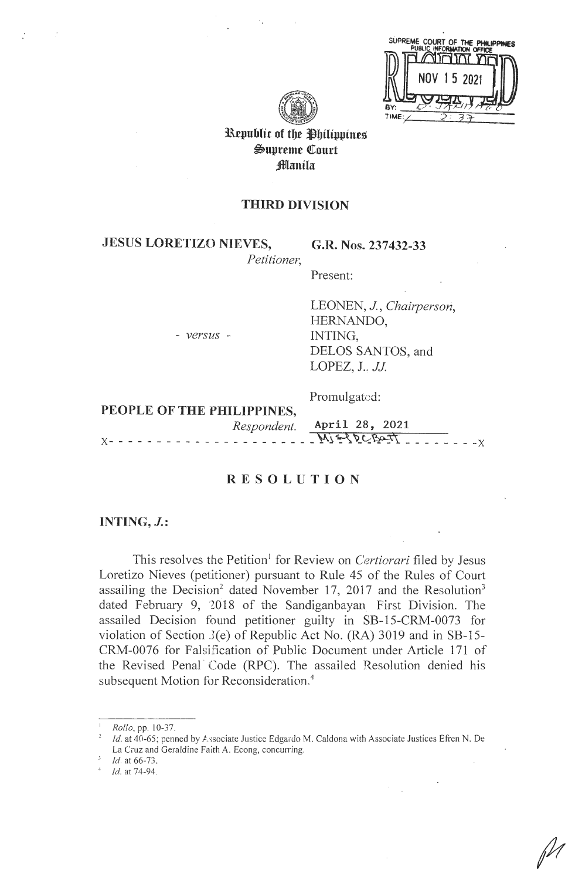|      | SUPREME COURT OF THE PHILIPPINES |  |
|------|----------------------------------|--|
|      |                                  |  |
|      | NOV 15 2021                      |  |
|      |                                  |  |
| BY:  |                                  |  |
| TIME |                                  |  |



Republic of the Philippines Supreme Court Manila

# **THIRD DIVISION**

**JESUS LORETIZO NIEVES,** 

- *versus* -

,.

**G.R. Nos. 237432-33** 

*Petitioner,* 

Present:

LEONEN, J, *Chairperson,*  HERNANDO, INTING, DELOS SANTOS, and LOPEZ,  $J.$   $JJ.$ 

Promulgated:

**PEOPLE OF THE PHILIPPINES,** 

*Respondent.* **April 28, 2021**   $x_1 - x_2 - x_3 = M_1 \leq N_2 \leq N_3$ 

# **RESOLUTION**

# **INTING, J.:**

This resolves the Petition' for Review on *Certiorari* filed by Jesus Loretizo Nieves (petitioner) pursuant to Rule 45 of the Rules of Court assailing the Decision<sup>2</sup> dated November 17, 2017 and the Resolution<sup>3</sup> dated February 9, 2018 of the Sandiganbayan First Division. The assailed Decision found petitioner guilty in SB-15-CRM-0073 for violation of Section J(e) of Republic Act No. (RA) 3019 and in SB-15- CRM-0076 for Falsification of Public Document under Article 171 of the Revised Penal Code (RPC). The assailed Resolution denied his subsequent Motion for Reconsideration.<sup>4</sup>

*Id.* at 66-73.<br>*Id.* at 74-94.

*Rollo*, pp. 10-37.

Id. at 40-65; penned by Associate Justice Edgardo M. Caldona with Associate Justices Efren N. De La Cruz and Geraldine Faith A. Econg, concurring.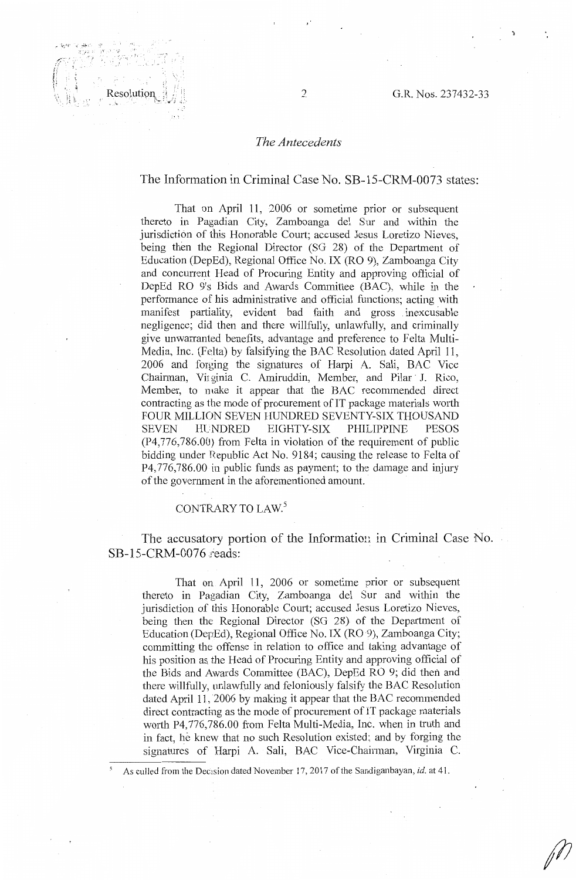#### *The Antecedents*

#### The Information in Criminal Case No. SB-15-CRM-0073 states:

That on April 11, 2006 or sometime prior or subsequent thereto in Pagadian City, Zamboanga del Sur and within the jurisdiction of this Honorable Court; accused Jesus Loretizo Nieves, being then the Regional Director (SG 28) of the Department of Education (DepEd), Regional Office No. IX (RO 9), Zamboanga City and concurrent Head of Procuring Entity and approving official of DepEd RO 9's Bids and Awards Committee (BAC), while in the performance of his administrative and official functions; acting with manifest partiality, evident bad faith and gross inexcusable negligence; did then and there willfully, unlawfully, and criminally give unwarranted benefits, advantage and preference to Felta Multi-Media, Inc. (Felta) by falsifying the BAC Resolution dated April 11, 2006 and forging the signatures of Harpi A. Sali, BAC Vice Chairman, Virginia C. Amiruddin, Member, and Pilar J. Rico, Member, to make it appear that the BAC recommended direct contracting as the mode of procurement of IT package materials worth FOUR MILLION SEVEN HUNDRED SEVENTY-SIX THOUSAND SEVEN HLNDRED EIGHTY-SIX PHILIPPINE PESOS (P4,776,786.00) from Felta in violation of the requirement of public bidding under Republic Act No. 9184; causing the release to Felta of P4,776,786.00 in public funds as payment; to the damage and injury of the government in the aforementioned amount.

## CONTRARY TO LAW.<sup>5</sup>

The accusatory portion of the Information in Criminal Case No. SB-15-CRM-0076 reads:

That on April 11, 2006 or sometime prior or subsequent thereto in Pagadian City, Zamboanga del Sur and within the jurisdiction of this Honorable Court; accused Jesus Loretizo Nieves, being then the Regional Director (SG 28} of the Department of Education (DepEd), Regional Office No. IX (RO 9), Zamboanga City; committing the offense in relation to office and taking advantage of his position as the Head of Procuring Entity and approving official of the Bids and Awards Committee (BAC), DepEd RO 9; did then and there willfully, unlawfully and feloniously falsify the BAC Resolution dated April 11, 2006 by making it appear that the BAC recommended direct contracting as the mode of procurement of IT package materials worth P4,776,786.00 from Felta Multi-Media, Inc. when in truth and in fact, he knew that no such Resolution existed; and by forging the signatures of Harpi A. Sali, BAC Vice-Chairman, Virginia C.

As culled from the Decision dated November 17, 2017 of the Sandiganbayan, *id.* at 41.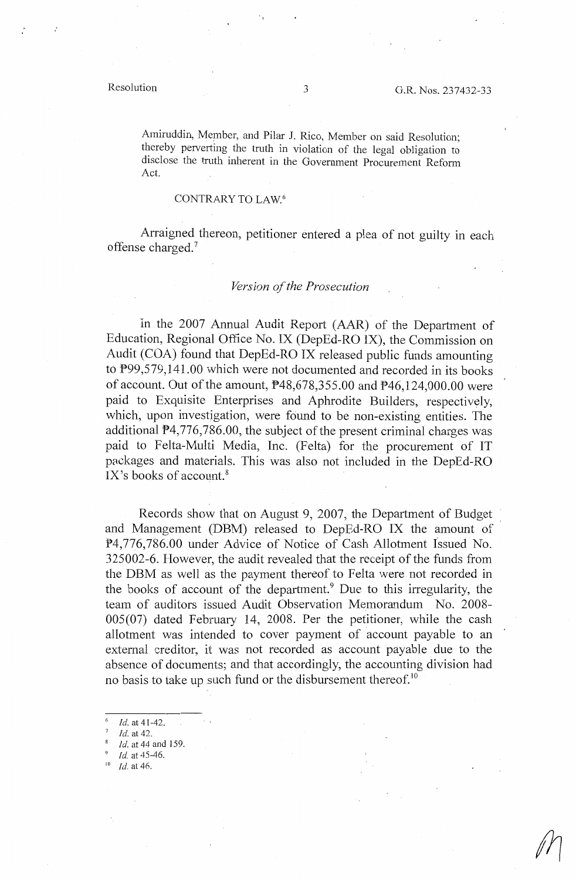Amiruddin, Member, and Pilar J. Rico, Member on said Resolution; thereby perverting the truth in violation of the legal obligation to disclose the truth inherent in the Government Procurement Reform Act.

### CONTRARY TO LAW.<sup>6</sup>

Arraigned thereon, petitioner entered a plea of not guilty in each offense charged.<sup>7</sup>

#### *Version of the Prosecution*

In the 2007 Annual Audit Report (AAR) of the Department of Education, Regional Office No. IX (DepEd-RO IX), the Commission on Audit (COA) found that DepEd-RO IX released public funds amounting to P99,579,141.00 which were not documented and recorded in its books of account. Out of the amount, P48,678,355.00 and P46,124,000.00 were paid to Exquisite Enterprises and Aphrodite Builders, respectively, which, upon investigation, were found to be non-existing entities. The additional P4,776,786.00, the subject of the present criminal charges was paid to Felta-Multi Media, Inc. (Felta) for the procurement of IT packages and materials. This was also not included in the DepEd-RO IX's books of account. $8$ 

Records show that on August 9, 2007, the Department of Budget and Management (DBM) released to DepEd-RO IX the amount of P4,776,786.00 under Advice of Notice of Cash Allotment Issued No. 325002-6. However, the audit revealed that the receipt of the funds from the DBM as well as the payment thereof to Felta were not recorded in the books of account of the department.<sup>9</sup> Due to this irregularity, the team of auditors issued Audit Observation Memorandum No. 2008-005(07) dated February 14, 2008. Per the petitioner, while the cash allotment was intended to cover payment of account payable to an external creditor, it was not recorded as account payable due to the absence of documents; and that accordingly, the accounting division had no basis to take up such fund or the disbursement thereof.<sup>10</sup>

- Id. at 41-42.
- *Id.* at 42.
- 8 *Id.* at 44 and 159.
- 9 *Id.* at 45-46.
- 10 *Id.* at 46.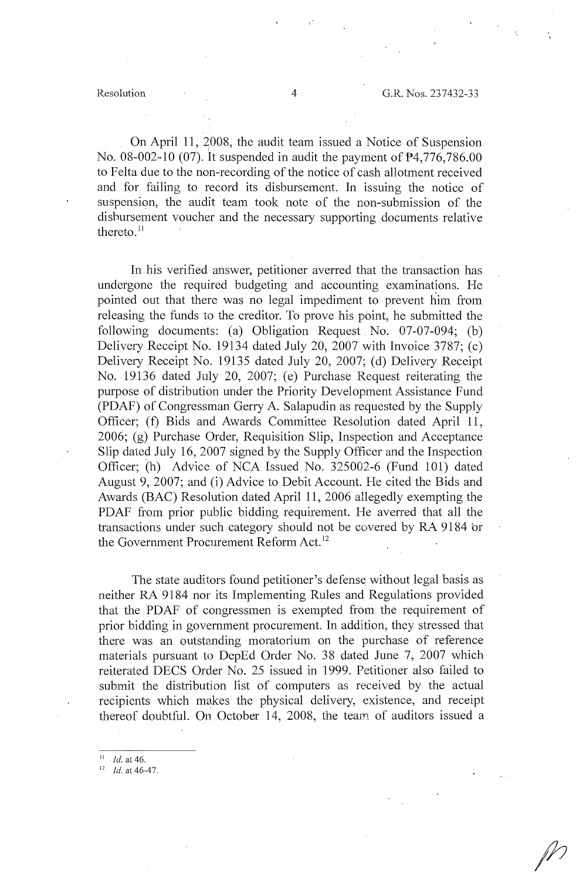On April 11, 2008, the audit team issued a Notice of Suspension No. 08-002-10 (07). It suspended in audit the payment of P4,776,786.00 to Felta due to the non-recording of the notice of cash allotment received and for failing to record its disbursement. In issuing the notice of suspension, the audit team took note of the non-submission of the dishursement voucher and the necessary supporting documents relative thereto. $11$ 

In his verified answer, petitioner averred that the transaction has undergone the required budgeting and accounting examinations. He pointed out that there was no legal impediment to prevent him from releasing the funds to the creditor. To prove his point, he submitted the following documents: (a) Obligation Request No. 07-07-094; (b) Delivery Receipt No. 19134 dated July 20, 2007 with Invoice 3787; (c) Delivery Receipt No. 19135 dated July 20, 2007; (d) Delivery Receipt No. 19136 dated July 20, 2007; (e) Purchase Request reiterating the purpose of distribution under the Priority Development Assistance Fund (PDAF) of Congressman Gerry A. Salapudin as requested by the Supply Officer; (f) Bids and Awards Committee Resolution dated April 11, 2006; (g) Purchase Order, Requisition Slip, Inspection and Acceptance Slip dated July 16, 2007 signed by the Supply Officer and the Inspection Officer; (h) Advice of NCA Issued No. 325002-6 (Fund 101) dated August 9, 2007; and (i) Advice to Debit Account. He cited the Bids and Awards (BAC) Resolution dated April 11, 2006 allegedly exempting the PDAF from prior public bidding requirement. He averred that all the transactions under such category should not be covered by RA 9184 br the Government Procurement Reform Act.<sup>12</sup>

The state auditors found petitioner's defense without legal basis as neither RA 9184 nor its Implementing Rules and Regulations provided that the PDAF of congressmen is exempted from the requirement of prior bidding in government procurement. In addition, they stressed that there was an outstanding moratorium on the purchase of reference materials pursuant to DepEd Order No. 38 dated June 7, 2007 which reiterated DECS Order No. 25 issued in 1999. Petitioner also failed to submit the distribution list of computers as received by the actual recipients which makes the physical delivery, existence, and receipt thereof doubtful. On October 14, 2008, the team of auditors issued a

*Id.* at 46.

*Id.* at 46-47.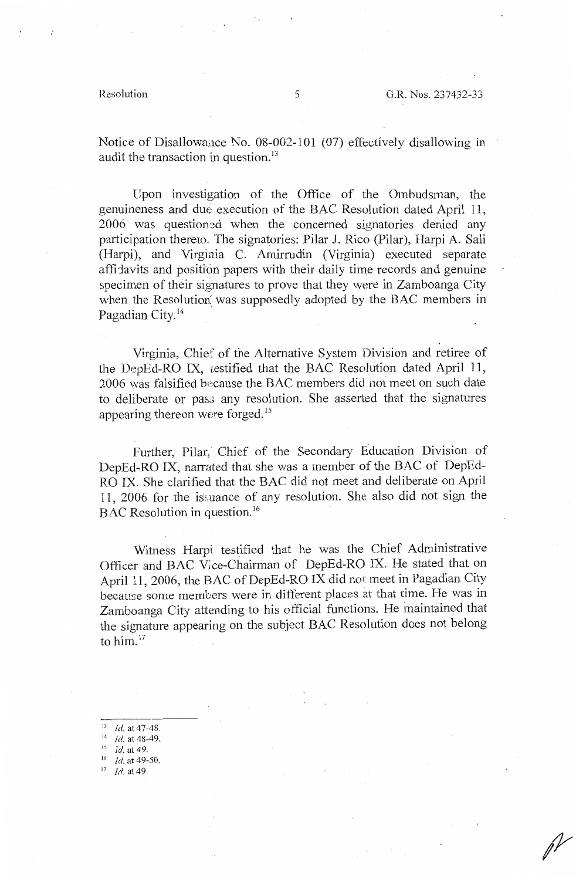Notice of Disallowance No. 08-002-101 (07) effectively disallowing in audit the transaction in question.<sup>13</sup>

Upon investigation of the Office of the Ombudsman, the genuineness and due execution of the BAC Resolution dated April 11, 2006 was questioned when the concerned signatories denied any participation thereto. The signatories: Pilar J. Rico (Pilar), Harpi A. Sali (Harpi), and Virginia C. Amirrudin (Virginia) executed separate affit avits and position papers with their daily time records and genuine specimen of their signatures to prove that they were in Zamboanga City when the Resolution: was supposedly adopted by the BAC members in Pagadian City.<sup>14</sup>

Virginia, Chief of the Alternative System Division and retiree of the DepEd-RO IX, testified that the BAC Resolution dated April 11, 2006 was falsified because the BAC members did not meet on such date to deliberate or pass any resolution. She asserted that the signatures appearing thereon were forged. <sup>15</sup>

Further, Pilar, Chief of the Secondary Education Division of DepEd-RO IX, narrated that she was a member of the BAC of DepEd-RO IX. She clarified that the BAC did not meet and deliberate on April 11, 2006 for the issuance of any resolution. She also did not sign the BAC Resolution in question.<sup>16</sup>

Witness Harpi testified that he was the Chief Administrative Officer and BAC v;ce-Chairman of DepEd-RO IX. He stated that on April 11, 2006, the BAC of DepEd-RO IX did not meet in Pagadian City because some members were in different places at that time. He was in Zamboanga City attending to his official functions. He inaintained that the signature appearing on the subject BAC Resolution does not belong to him.<sup>17</sup>

- 13 *Id.* at 47-48.
- <sup>14</sup> *Id.* at 48-49.
- 
- 16 *Id.* at 49-50.
- $17$  *Id.* at 49.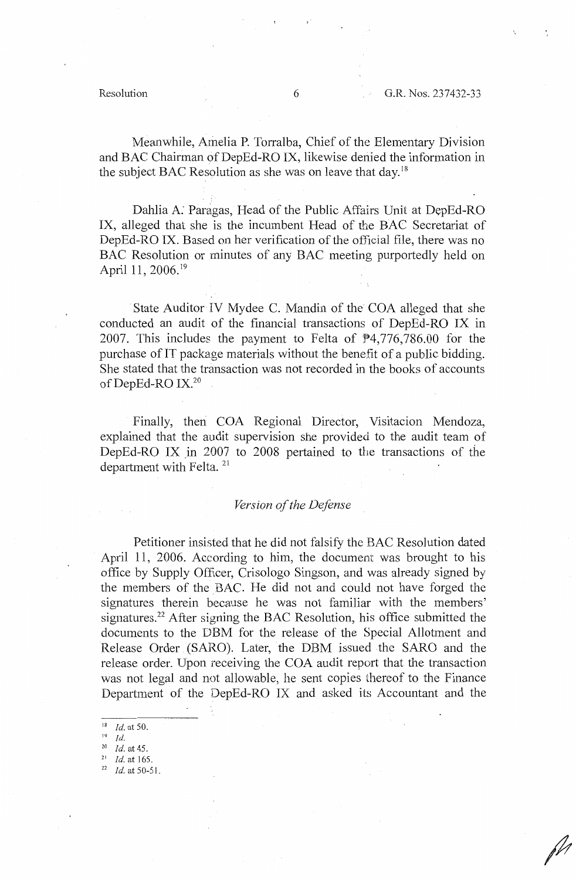Meanwhile, Amelia P. Torralba, Chief of the Elementary Division and BAC Chairman of DepEd-RO IX, likewise denied the information in the subject BAC Resolution as she was on leave that day.<sup>18</sup>

Dahlia A. Paragas, Head of the Public Affairs Unit at DepEd-RO IX, alleged that she is the incumbent Head of the BAC Secretariat of DepEd-RO IX. Based on her verification of the official file, there was no BAC Resolution or minutes of any BAC meeting purportedly held on April 11, 2006.<sup>19</sup>

State Auditor IV Mydee C. Mandin of the COA alleged that she conducted an audit of the financial transactions of DepEd-RO IX in 2007. This includes the payment to Felta of  $\frac{4}{776}$ ,786.00 for the purchase of IT package materials without the benefit of a public bidding. She stated that the transaction was not recorded in the books of accounts of DepEd-RO IX.<sup>20</sup>

Finally, then COA Regional Director, Visitacion Mendoza, explained that the audit supervision she provided to the audit team of DepEd-RO IX in 2007 to 2008 pertained to the transactions of the department with Felta.  $21$ 

#### *Version of the Defense*

Petitioner insisted that he did not falsify the BAC Resolution dated April 11, 2006. According to him, the document was brought to his office by Supply Officer, Crisologo Singson, and was already signed by the members of the BAC. He did not and could not have forged the signatures therein because he was not familiar with the members' signatures.<sup>22</sup> After signing the BAC Resolution, his office submitted the documents to the DBM for the release of the Special Allotment and Release Order (SARO). Later, the DBM issued the SARO and the release order. Upon receiving the COA audit report that the transaction was not legal and not allowable, he sent copies thereof to the Finance Department of the DepEd-RO IX and asked its Accountant and the

 $\frac{20}{21}$  *Id.* at 45.

*Id.* at 165.<br>*Id.* at 50-51.

<sup>18</sup>*Id.* at 50.

<sup>19</sup>*Id.*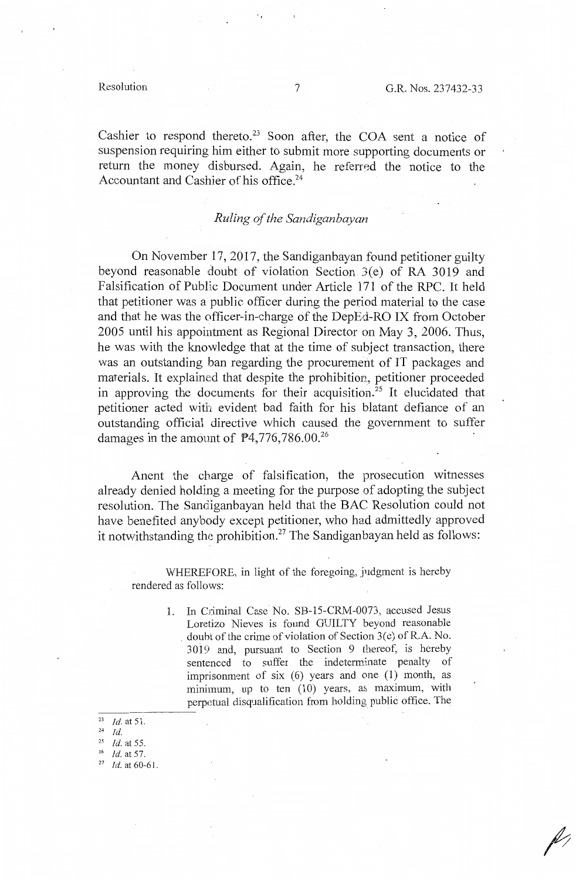Cashier to respond thereto.<sup>23</sup> Soon after, the COA sent a notice of suspension requiring him either to submit more supporting documents or return the money disbursed. Again, he referred the notice to the Accountant and Cashier of his office.<sup>24</sup>

## *Ruling of the Sandiganbayan*

On November 17, 2017, the Sandiganbayan found petitioner guilty beyond reasonable doubt of violation Section 3(e) of RA 3019 and Falsification of Public Document under Article 171 of the RPC. It held that petitioner was a public officer during the period material to the case and that he was the 0fficer-in-charge of the DepEd-RO IX from October 2005 until his appointment as Regional Director on May 3, 2006. Thus, he was with the knowledge that at the time of subject transaction, there was an outstanding ban regarding the procurement of IT packages and materials. It explained that despite the prohibition, petitioner proceeded in approving the documents for their acquisition.<sup>25</sup> It elucidated that petitioner acted with evident bad faith for his blatant defiance of an outstanding official directive which caused the government to suffer damages in the amount of  $P4,776,786.00$ <sup>26</sup>

Anent the charge of falsification, the prosecution witnesses already denied holding a meeting for the purpose of adopting the subject resolution. The Sandiganbayan held that the BAC Resolution could not have benefited anybody except petitioner, who had admittedly approved it notwithstanding the prohibition.<sup>27</sup> The Sandiganbayan held as follows:

WHEREFORE, in light of the foregoing, judgment is hereby rendered as follows:

> 1. In Criminal Case No. SB-15-CRM-0073, accused Jesus Loretizo Nieves is found GUILTY beyond reasonable doubt of the crime of violation of Section  $3(e)$  of R.A. No. 3019 and, pursuant to Section 9 thereof, is hereby sentenced to suffer the indeterminate penalty of imprisonment of six (6) years and one (1) month, as minimum, up to ten (10) years, as maximum, with perpetual disqualification from holding public office. The

<sup>23</sup>*Id.* at 51.

<sup>24</sup>*Id.* 

<sup>&</sup>lt;sup>25</sup> *Id.* at 55.<br><sup>26</sup> *Id.* at 57.

<sup>&</sup>lt;sup>27</sup> *Id.* at 60-61.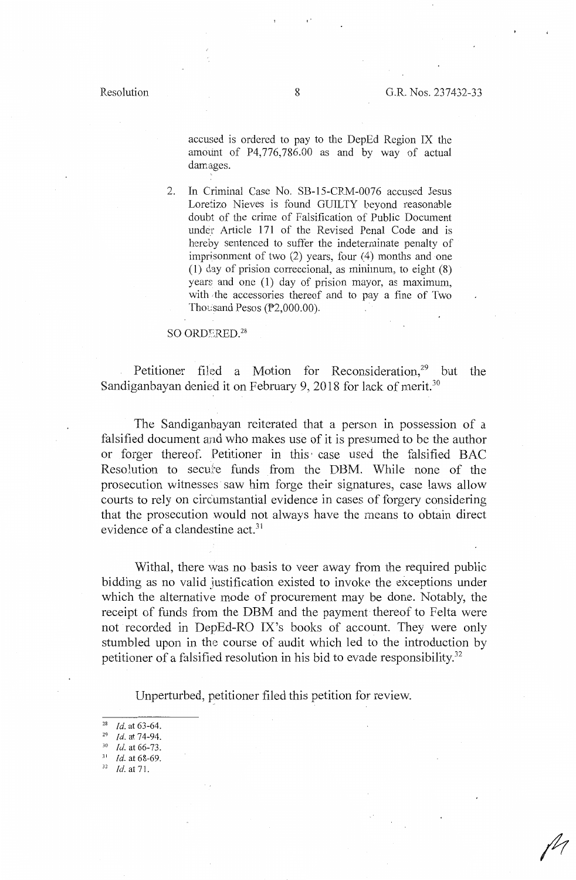accused is ordered to pay to the DepEd Region IX the ammint of P4,776,786.00 as and by way of actual damages.

2. In Criminal Case No. SB-15-CRM-0076 accused Jesus Loretizo Nieves is found GUILTY beyond reasonable doubt of the crime of Falsification of Public Document under Article 171 of the Revised Penal Code and is hereby sentenced to suffer the indeterminate penalty of imprisonment of two (2) years, four (4) months and one (1) day of prision correccional, as minimum, to eight (8) years and one  $(1)$  day of prision mayor, as maximum, with the accessories thereof and to pay a fine of Two Thousand Pesos ( $P2,000.00$ ).

#### SO ORDERED.<sup>28</sup>

Petitioner filed a Motion for Reconsideration,<sup>29</sup> but the Sandiganbayan denied it on February 9, 2018 for lack of merit.<sup>30</sup>

The Sandiganbayan reiterated that a person in possession of a falsified document and who makes use of it is presumed to be the author or forger thereof. Petitioner in this, case used the falsified BAC Resolution to secure funds from the DBM. While none of the prosecution witnesses saw him forge their signatures, case laws allow courts to rely on circumstantial evidence in cases of forgery considering that the prosecution would not always have the means to obtain direct evidence of a clandestine act.<sup>31</sup>

Withal, there was no basis to veer away from the required public bidding as no valid justification existed to invoke the exceptions under which the alternative mode of procurement may be done. Notably, the receipt of funds from the DBM and the payment thereof to Felta were not recorded in DepEd-RO IX's books of account. They were only stumbled upon in the course of audit which led to the introduction by petitioner of a falsified resolution in his bid to evade responsibility.<sup>32</sup>

Unperturbed, petitioner filed this petition for review.

- <sup>31</sup>*Id.* at 68-69. 32 *Id.* at 71.
- 

<sup>&</sup>lt;sup>28</sup> *Id.* at 63-64.<br><sup>29</sup> *Id.* at 74-94.<br><sup>30</sup> *Id.* at 66-73.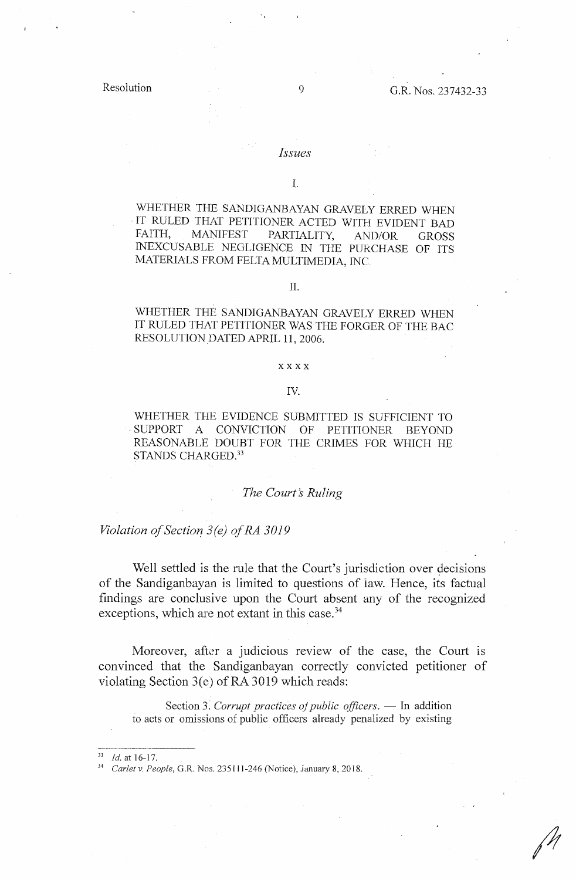#### *Issues*

I.

WHETHER THE SANDIGANBAYAN GRAVELY ERRED WHEN IT RULED THAT PETITIONER ACTED WITH EVIDENT BAD FAITH, MANIFEST PARTIALITY, AND/OR GROSS FAITH, MANIFEST PARTIALITY, AND/OR GROSS INEXCUSABLE NEGLIGENCE IN THE PURCHASE OF ITS MATERIALS FROM FELTA MULTIMEDIA, INC

### II.

WHETHER THE SANDIGANBAYAN GRAVELY ERRED WHEN IT RULED THAT PETITIONER WAS THE FORGER OF THE BAC RESOLUTION DATED APRIL 11, 2006.

### xxxx

#### IV.

WHETHER THE EVIDENCE SUBMITTED IS SUFFICIENT TO SUPPORT A CONVICTION OF PETITIONER BEYOND REASONABLE DOUBT FOR THE CRIMES FOR WHICH HE STANDS CHARGED.<sup>33</sup>

### *The Court's Ruling*

*Violation of Section 3(e) of RA 3019* 

Well settled is the rule that the Court's jurisdiction over decisions of the Sandiganbayan is limited to questions of law. Hence, its factual findings are conclusive upon the Court absent any of the recognized exceptions, which are not extant in this case.<sup>34</sup>

Moreover, after a judicious review of the case, the Court is convinced that the Sandiganbayan correctly convicted petitioner of violating Section 3(e) of RA 3019 which reads:

Section 3. *Corrupt practices of public officers*. — In addition to acts or omissions of public officers already penalized by existing

<sup>33</sup>*Id.* at 16-17. 34 *Carlet v. People,* G.R. Nos. 235111-246 (Notice), January 8, 2018.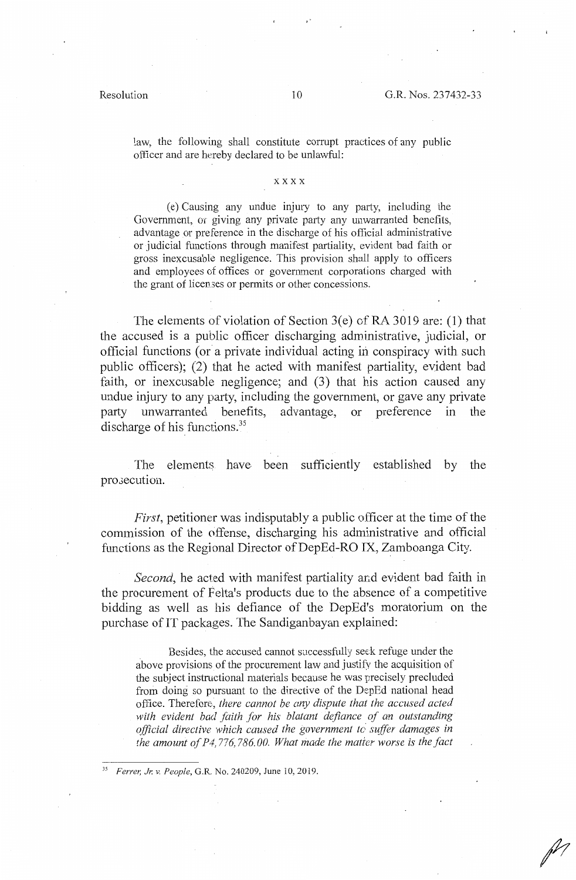law, the following shall constitute corrupt practices of any public officer and are hereby declared to be unlawful:

#### xxxx

( e) Causing any undue injury to any party, including the Government, or giving any private party any unwarranted benefits, advantage or preference in the discharge of his official administrative or judicial functions through manifest partiality, evident bad faith or gross inexcusable negligence. This provision shall apply to officers and employees of offices or government corporations charged with the grant of licemes or permits or other concessions.

The elements of violation of Section  $3(e)$  of RA 3019 are: (1) that the accused is a public officer discharging administrative, judicial, or official functions (or a private individual acting in conspiracy with such public officers); (2) that he acted with manifest partiality, evident bad faith, or inexcusable negligence; and (3) that his action caused any undue injury to any party, including the govermnent, or gave any private party unwarranted benefits, advantage, or preference in the discharge of his functions.<sup>35</sup>

The elements have been sufficiently established by the pro.ecution.

*First*, petitioner was indisputably a public officer at the time of the commission of the offense, discharging his administrative and official functions as the Regional Director of DepEd-RO IX, Zamboanga City.

*Second*, he acted with manifest partiality and evident bad faith in the procurement of Felta's products due to the absence of a competitive bidding as well as his defiance of the DepEd's moratorium on the purchase of IT packages. The Sandiganbayan explained:

Besides, the accused cannot successfully seek refuge under the above provisions of the procurement law and justifv the acquisition of the subject instructional materials because he was precisely precluded from doing so pursuant to the directive of the DepEd national head office. Therefore, *there cannot be any dispute that the accused acted with evident bad faith for his blatant defiance of an outstanding official directive which caused the government to suffer damages in the amount of P4, 776,786.00. What made the matier worse is the fact* 

*<sup>35</sup> Ferrer, J1'. v. People,* G.R. No. 240209, June 10, 2019.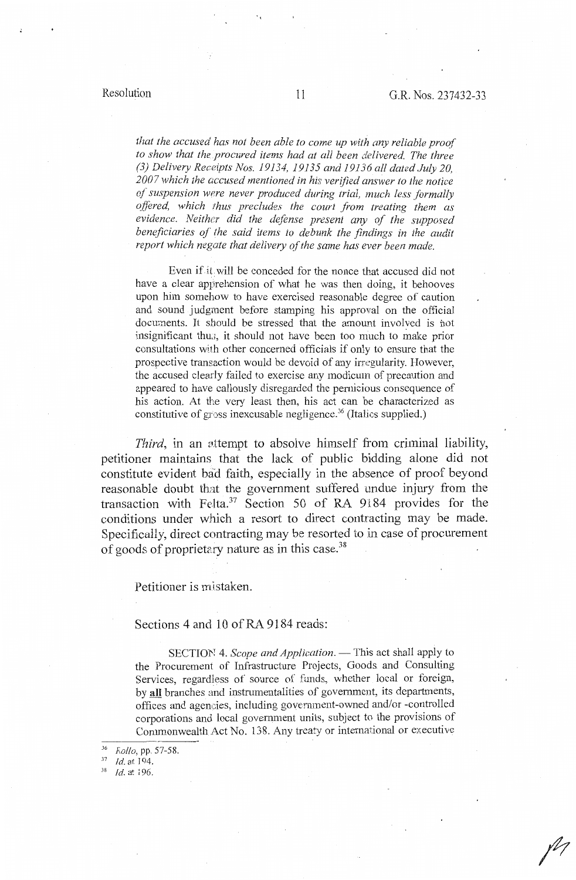# Resolution 11 G.R. Nos. 237432-33

*that the accused has not been able to come up with any reliable proof to show that the procured items had at all been delivered. The three (3) Delivery Receipts Nos. 19134, 19135 and 19136 all dated July 20, 2007 which the accused mentioned in his verified answer to the notice of suspension were never produced during trial, 1nuch less formally offered, which thus precludes the court from treating them as evidence. Neither did the defense present any of the supposed beneficiaries of the said items to debunk the findings in the audit report which negate that delivery of the same has ever been made.* 

Even if it will be conceded for the nonce that accused did not have a clear apprehension of what he was then doing, it behooves upon him somehow to have exercised reasonable degree of caution and sound judgment before stamping his approval on the official documents. It should be stressed that the amount involved is not insignificant thu3, it should not have been too much to make prior consultations with other concerned officials if only to ensure that the prospective tram:action would be devoid of any irregularity. However, the accused clearly failed to exercise any modicum of precaution and appeared to have callously disregarded the pernicious consequence of his action. At the very least then, his act can be characterized as constitutive of gross inexcusable negligence. 36 (Italics supplied.)

*Third,* in an sttempt to absolve himself from criminal liability, petitioner maintains that the lack of public bidding alone did not constitute evident bad faith, especially in the absence of proof beyond reasonable doubt that the government suffered undue injury from the transaction with Felta.<sup>37</sup> Section 50 of RA 9184 provides for the conditions under which a resort to direct contracting may be made. Specifically, direct contracting may be resorted to in case of procurement of goods of proprietary nature as in this case. 38

Petitioner is mistaken.

### Sections 4 and 10 of RA 9184 reads:

SECTION 4. *Scope and Application*. — This act shall apply to the Procurement of Infrastructure Projects, Goods and Consulting Services, regardless of source of funds, whether local or foreign, by **all** branches and instrumentalities of government, its departments, offices and agencies, including government-owned and/or -controlled corporations and local government units, subject to the provisions of Commonwealth Act No. 138. Any treaty or international or executive

 $\frac{36}{37}$  *Kollo*, pp. 57-58.

 $\frac{37}{38}$  *Id.* at 194.

<sup>18</sup>*Id.* at 196.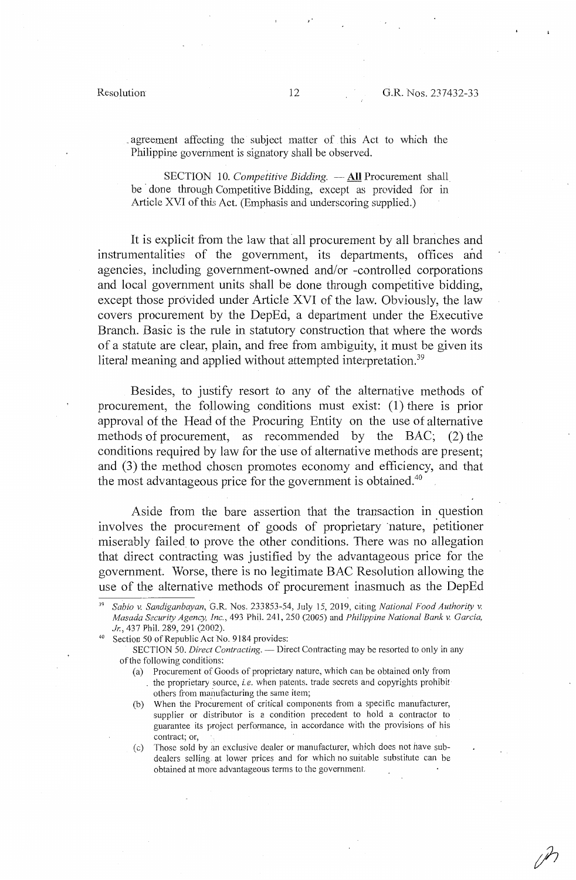. agreement affecting the subject matter of this Act to which the Philippine government is signatory shall be observed.

SECTION 10. *Competitive Bidding.* — **All** Procurement shall be done through Competitive Bidding, except as provided for in Article XVI of this Act. (Emphasis and underscoring supplied.)

It is explicit from the law that all procurement by all branches and instrumentalities of the government, its departments, offices and agencies, including government-owned and/or -controlled corporations and local government units shall be done through competitive bidding, except those provided under Article XVI of the law. Obviously, the law covers procurement by the DepEd, a department under the Executive Branch. Basic is the rule in statutory construction that where the words of a statute are clear, plain, and free from ambiguity, it must be given its literal meaning and applied without attempted interpretation.<sup>39</sup>

Besides, to justify resort to any of the alternative methods of procurement, the following conditions must exist: (1) there is prior approval of the Head of the Procuring Entity on the use of alternative methods of procurement, as recommended by the BAC; (2) the conditions required by law for the use of alternative methods are present; and (3) the method chosen promotes economy and efficiency, and that the most advantageous price for the government is obtained.<sup>40</sup>

Aside from the bare assertion that the transaction in question involves the procurement of goods of proprietary nature, petitioner miserably failed to prove the other conditions. There was no allegation that direct contracting was justified by the advantageous price for the government. Worse, there is no legitimate BAC Resolution allowing the use of the alternative methods of procurement inasmuch as the DepEd

- ( a) Procurement of Goods of proprietary nature, which can be obtained only from . the proprietary source, *i.e.* when patents. trade secrets and copyrights prohibit others from manufacturing the same item;
- (b) When the Procurement of critical components from a specific manufacturer, supplier or distributor is a condition precedent to hold a contractor to guarantee its project perfonnance, in accordance with the provisions of his contract; or,

(c) Those sold by an exclusive dealer or manufacturer, which does not have subdealers selling at lower prices and for which no suitable substitute can be obtained at more advantageous terms to the government.

<sup>39</sup>*Sabio v. Sandiganbayan,* G.R. Nos. 233853-54, July 15, 2019, citing *National Food Authority v. Masada Security Agency, Inc.,* 493 Phil. 241, 250 (2005) and *Philippine National Bank* v. *Garcia, Jr., 437 Phil. 289, 291 (2002).* Section 50 of Republic Act No. 9184 provides:

SECTION 50. *Direct Contracting.* - Direct Contracting may be resorted to only in any of the following conditions: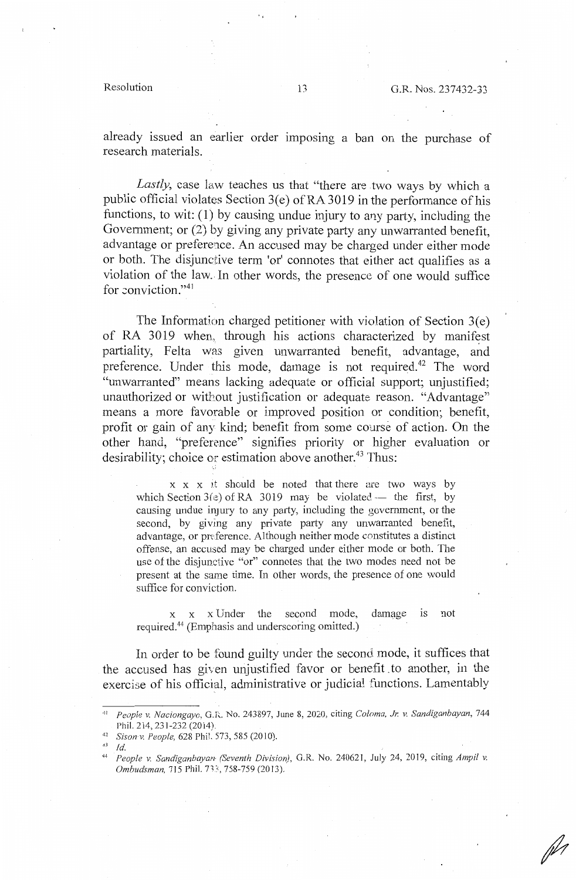already issued an earlier order imposing a ban on the purchase of research materials.

*Lastly,* case law teaches us that "there are two ways by which a public official violates Section 3(e) of RA 3019 in the performance of his functions, to wit:  $(1)$  by causing undue injury to any party, including the Government; or (2) by giving any private party any unwarranted benefit advantage or preference. An accused may be charged under either mode or both. The disjunctive term 'or' connotes that either act qualifies as a violation of the law. In other words, the presence of one would suffice for conviction."<sup>41</sup>

The Information charged petitioner with violation of Section  $3(e)$ of RA 3019 when, through his actions characterized by manifest partiality, Felta was given unwarranted benefit, advantage, and preference. Under this mode, damage is not required.<sup>42</sup> The word "unwarranted" means lacking adequate or official support; unjustified; unauthorized or without justification or adequate reason. "Advantage" means a more favorable or improved position or condition; benefit, profit or gain of any kind; benefit from some course of action. On the other hand, "preference" signifies priority or higher evaluation or desirability; choice or estimation above another.<sup>43</sup> Thus:

 $x \times x$  it should be noted that there are two ways by which Section  $3(z)$  of RA 3019 may be violated -- the first, by causing undue injury to any party, including the government, or the second, by giving any private party any unwarranted benefit, advantage, or preference. Although neither mode constitutes a distinct offense, an accused may be charged under either mode or both. The use of the disjunctive "or" connotes that the two modes need not be present at the same time. In other words, the presence of one would suffice for conviction.

x x x Under the second mode, damage is not required.44 (Emphasis and underscoring omitted.)

In order to be found guilty under the second mode, it suffices that the accused has given unjustified favor or benefit\_ to another, in the exercise of his official, administrative or judicial functions. Lamentably

<sup>43</sup>*Id.* 

<sup>41</sup> <sup>11</sup>*People v. Naciongayo,* G.R. No. 243897, June 8, 2020, citing *Coloma, Jr. v. Sandiganbayan,* 744

Phil. 214, 231-232 (2014).<br><sup>42</sup> *Sison v. People,* 628 Phil. 573, 585 (2010).

<sup>44</sup>*People v. Sandiganbayan (Seventh Division),* G.R. No. 240621, July 24, 2019, citing *Ampil v. Ombudsman, 715 Phil. 733, 758-759 (2013).*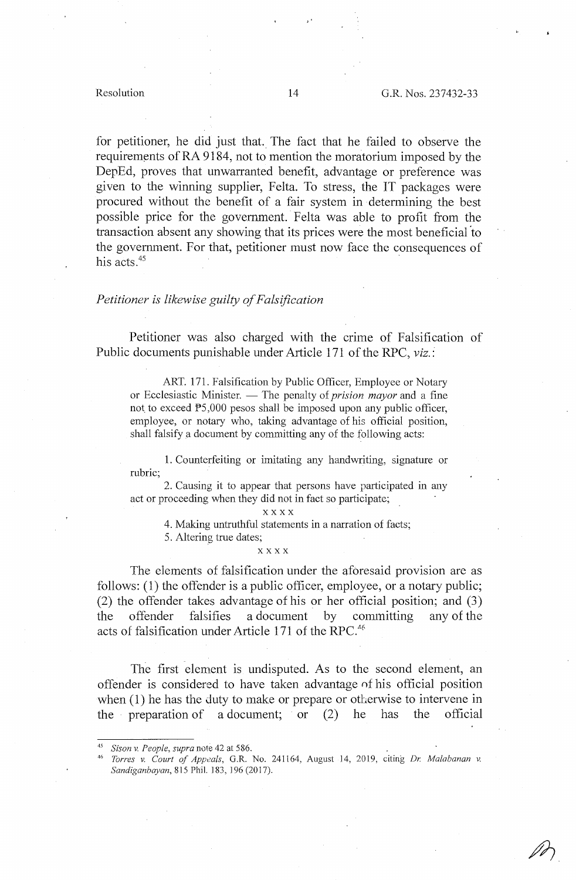for petitioner, he did just that.\_ The fact that he failed to observe the requirements of RA 9184, not to mention the moratorium imposed by the DepEd, proves that unwarranted benefit, advantage or preference was given to the winning supplier, Felta. To stress, the IT packages were procured without the benefit of a fair system in determining the best possible price for the government. Felta was able to profit from the transaction absent any showing that its prices were the most beneficial 'to the government. For that, petitioner must now face the consequences of his acts.<sup>45</sup>

### *Petitioner is likewise guilty of Falsification*

Petitioner was also charged with the crime of Falsification of Public documents punishable under Article 171 of the RPC, *viz.:* 

ART. 171. Falsification by Public Officer, Employee or Notary or Ecclesiastic Minister. — The penalty of *prision mayor* and a fine not to exceed  $P5,000$  pesos shall be imposed upon any public officer, employee, or notary who, taking advantage of his official position, shall falsify a document by committing any of the following acts:

1. Counterfeiting or imitating any handwriting, signature or rubric;

2. Causing it to appear that persons have participated in any act or proceeding when they did not in fact so participate;

**xxxx** 

4. Making untruthful statements in a narration of facts;

5. Altering true dates;

#### **xxxx**

The elements of falsification under the aforesaid provision are as follows: (1) the offender is a public officer, employee, or a notary public; (2) the offender takes advantage of his or her official position; and (3) the offender falsifies a document by committing any of the acts of falsification under Article 171 of the RPC. $46$ 

The first element is undisputed. As to the second element, an offender is considered to have taken advantage nf his official position when  $(1)$  he has the duty to make or prepare or otherwise to intervene in the preparation of a document; or (2) he has the official

<sup>45</sup>*Sison v. People, supra* note 42 at 586. 46 *Torres v. Court of Appeals,* G.R. No. 241164, August 14, 2019, citing *Dr. Malabanan v. Sandiganbayan,* 815 Phil. 183, 196 (2017).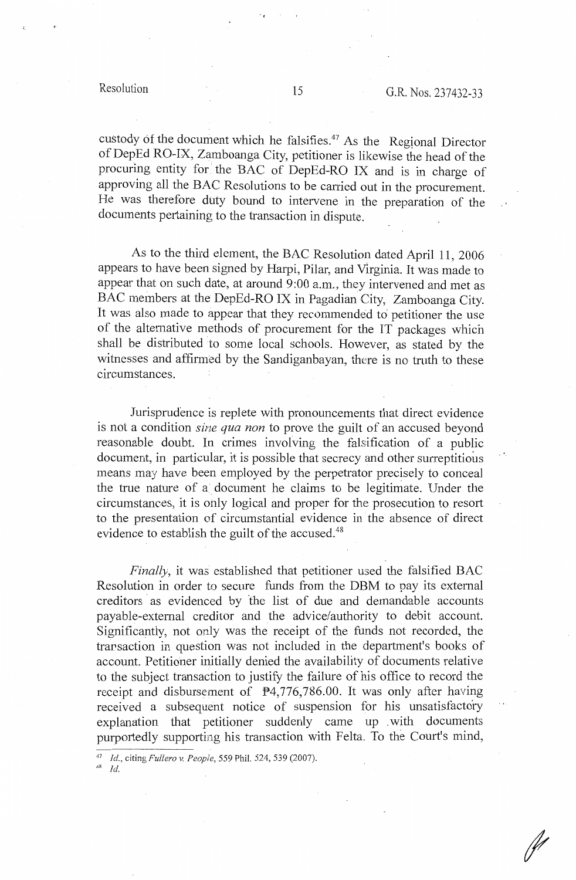J.

custody of the document which he falsifies.<sup>47</sup> As the Regional Director of DepEd RO-IX, Zamboanga City, petitioner is likewise the head of the procuring entity for the BAC of DepEd-RO IX and is in charge of approving all the BAC Resolutions to be carried out in the procurement. He was therefore duty bound to intervene in the preparation of the documents pertaining to the transaction in dispute.

As to the third element, the BAC Resolution dated April 11, 2006 appears to have been signed by Harpi, Pilar, and Virginia. It was made to appear that on such date, at around 9:00 a.m., they intervened and met as BAC members at the DepEd-RO IX in Pagadian City, Zamboanga City. It was also made to appear that they recommended *t6* petitioner the use of the alternative methods of procurement for the IT packages which shall be distributed to some local schools. However, as stated by the witnesses and affirmed by the Sandiganbayan, there is no truth to these circumstances.

Jurisprudence is replete with pronouncements that direct evidence is not a condition *sine qua non* to prove the guilt of an accused beyond reasonable doubt. In crimes involving the falsification of a public document, in particular, it is possible that secrecy and other surreptitious means may have been employed by the perpetrator precisely to conceal the true nature of a document he claims to be legitimate. Under the circumstances, it is only logical and proper for the prosecution to resort to the presentation of circumstantial evidence in the absence of direct evidence to establish the guilt of the accused.<sup>48</sup>

*Finally,* it was established that petitioner used the falsified BAC Resolution in order to secure funds from the DBM to pay its external creditors as evidenced by the list of due and demandable accounts payable-external creditor and the advice/authority to debit account. Significantly, not only was the receipt of the funds not recorded, the transaction in question was not included in the department's books of account. Petitioner initially denied the availability of documents relative to the subject transaction to justify the failure of his office to record the receipt and disbursement of  $P4,776,786.00$ . It was only after having received a subsequent notice of suspension for his unsatisfactory explanation that petitioner suddenly came up . with documents purportedly supporting his transaction with Felta. To the Court's mind,

48 *Id.* 

,,

<sup>47</sup>*Id.,* citing *Fullero v. People,* 559 Phil. 524, 539 (2007).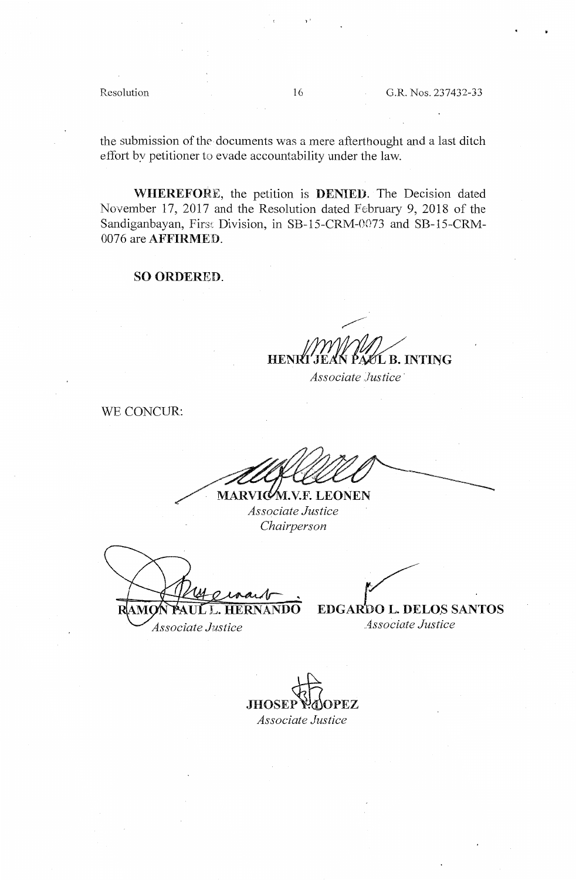Resolution 16 G.R. Nos. 237432-33

the submission of the documents was a mere afterthought and a last ditch effort by petitioner to evade accountability under the law.

**WHEREFORE,** the petition is **DENIED.** The Decision dated November 17, 2017 and the Resolution dated February 9, 2018 of the Sandiganbayan, First Division, in SB-15-CRM-0073 and SB-15-CRM-0076 are **AFFIRMED.** 

**SO ORDERED.** 

**HENRT LR INTING** 

*Associate Justice·* 

WE CONCUR:

MARVICALVE LEONEN *Associate Justice Chairperson* 

*Associate Justice Associate Justice* 

/'  $\overline{LL}$ . **HERNANDO** EDGARDO L. DELOS SANTOS

**JHOSEP PAOPEZ** *Associate Justice* 

 $\ddot{\phantom{0}}$